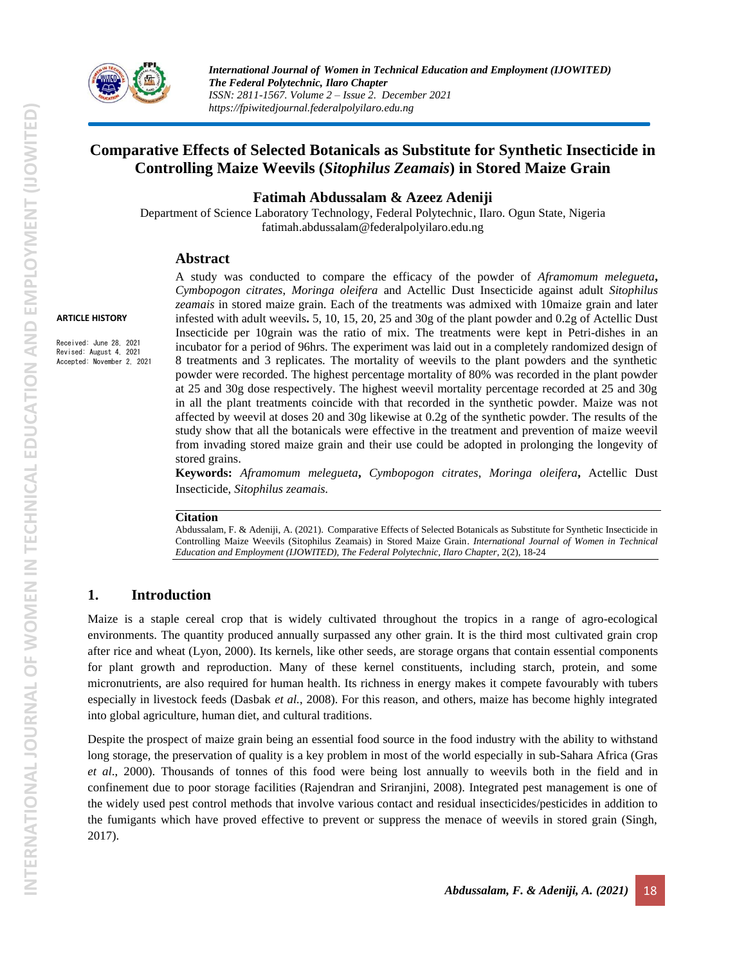

*International Journal of Women in Technical Education and Employment (IJOWITED) The Federal Polytechnic, Ilaro Chapter ISSN: 2811-1567. Volume 2 – Issue 2. December 2021 https://fpiwitedjournal.federalpolyilaro.edu.ng*

# **Comparative Effects of Selected Botanicals as Substitute for Synthetic Insecticide in Controlling Maize Weevils (***Sitophilus Zeamais***) in Stored Maize Grain**

### **Fatimah Abdussalam & Azeez Adeniji**

Department of Science Laboratory Technology, Federal Polytechnic, Ilaro. Ogun State, Nigeria fatimah.abdussalam@federalpolyilaro.edu.ng

### **Abstract**

A study was conducted to compare the efficacy of the powder of *Aframomum melegueta***,**  *Cymbopogon citrates*, *Moringa oleifera* and Actellic Dust Insecticide against adult *Sitophilus zeamais* in stored maize grain. Each of the treatments was admixed with 10maize grain and later infested with adult weevils**.** 5, 10, 15, 20, 25 and 30g of the plant powder and 0.2g of Actellic Dust Insecticide per 10grain was the ratio of mix. The treatments were kept in Petri-dishes in an incubator for a period of 96hrs. The experiment was laid out in a completely randomized design of 8 treatments and 3 replicates. The mortality of weevils to the plant powders and the synthetic powder were recorded. The highest percentage mortality of 80% was recorded in the plant powder at 25 and 30g dose respectively. The highest weevil mortality percentage recorded at 25 and 30g in all the plant treatments coincide with that recorded in the synthetic powder. Maize was not affected by weevil at doses 20 and 30g likewise at 0.2g of the synthetic powder. The results of the study show that all the botanicals were effective in the treatment and prevention of maize weevil from invading stored maize grain and their use could be adopted in prolonging the longevity of stored grains.

**Keywords:** *Aframomum melegueta***,** *Cymbopogon citrates*, *Moringa oleifera***,** Actellic Dust Insecticide, *Sitophilus zeamais.*

#### **Citation**

Abdussalam, F. & Adeniji, A. (2021). Comparative Effects of Selected Botanicals as Substitute for Synthetic Insecticide in Controlling Maize Weevils (Sitophilus Zeamais) in Stored Maize Grain. *International Journal of Women in Technical Education and Employment (IJOWITED), The Federal Polytechnic, Ilaro Chapter*, 2(2), 18-24

## **1. Introduction**

Maize is a staple cereal crop that is widely cultivated throughout the tropics in a range of agro-ecological environments. The quantity produced annually surpassed any other grain. It is the third most cultivated grain crop after rice and wheat (Lyon, 2000). Its kernels, like other seeds, are storage organs that contain essential components for plant growth and reproduction. Many of these kernel constituents, including starch, protein, and some micronutrients, are also required for human health. Its richness in energy makes it compete favourably with tubers especially in livestock feeds (Dasbak *et al.*, 2008). For this reason, and others, maize has become highly integrated into global agriculture, human diet, and cultural traditions.

Despite the prospect of maize grain being an essential food source in the food industry with the ability to withstand long storage, the preservation of quality is a key problem in most of the world especially in sub-Sahara Africa (Gras *et al*., 2000). Thousands of tonnes of this food were being lost annually to weevils both in the field and in confinement due to poor storage facilities (Rajendran and Sriranjini, 2008). Integrated pest management is one of the widely used pest control methods that involve various contact and residual insecticides/pesticides in addition to the fumigants which have proved effective to prevent or suppress the menace of weevils in stored grain (Singh, 2017).

Received: June 28, 2021 Revised: August 4, 2021 Accepted: November 2, 2021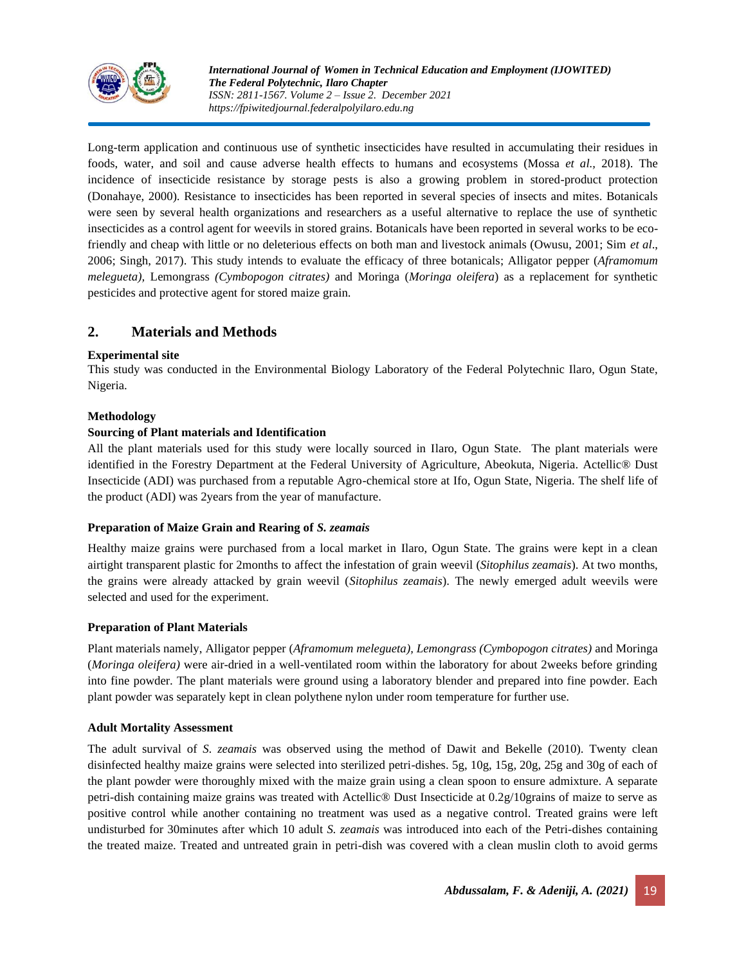

Long-term application and continuous use of synthetic insecticides have resulted in accumulating their residues in foods, water, and soil and cause adverse health effects to humans and ecosystems (Mossa *et al.,* 2018). The incidence of insecticide resistance by storage pests is also a growing problem in stored-product protection (Donahaye, 2000). Resistance to insecticides has been reported in several species of insects and mites. Botanicals were seen by several health organizations and researchers as a useful alternative to replace the use of synthetic insecticides as a control agent for weevils in stored grains. Botanicals have been reported in several works to be ecofriendly and cheap with little or no deleterious effects on both man and livestock animals (Owusu, 2001; Sim *et al*., 2006; Singh, 2017). This study intends to evaluate the efficacy of three botanicals; Alligator pepper (*Aframomum melegueta),* Lemongrass *(Cymbopogon citrates)* and Moringa (*Moringa oleifera*) as a replacement for synthetic pesticides and protective agent for stored maize grain.

# **2. Materials and Methods**

#### **Experimental site**

This study was conducted in the Environmental Biology Laboratory of the Federal Polytechnic Ilaro, Ogun State, Nigeria.

### **Methodology**

#### **Sourcing of Plant materials and Identification**

All the plant materials used for this study were locally sourced in Ilaro, Ogun State. The plant materials were identified in the Forestry Department at the Federal University of Agriculture, Abeokuta, Nigeria. Actellic® Dust Insecticide (ADI) was purchased from a reputable Agro-chemical store at Ifo, Ogun State, Nigeria. The shelf life of the product (ADI) was 2years from the year of manufacture.

#### **Preparation of Maize Grain and Rearing of** *S. zeamais*

Healthy maize grains were purchased from a local market in Ilaro, Ogun State. The grains were kept in a clean airtight transparent plastic for 2months to affect the infestation of grain weevil (*Sitophilus zeamais*). At two months, the grains were already attacked by grain weevil (*Sitophilus zeamais*). The newly emerged adult weevils were selected and used for the experiment.

#### **Preparation of Plant Materials**

Plant materials namely, Alligator pepper (*Aframomum melegueta), Lemongrass (Cymbopogon citrates)* and Moringa (*Moringa oleifera)* were air-dried in a well-ventilated room within the laboratory for about 2weeks before grinding into fine powder. The plant materials were ground using a laboratory blender and prepared into fine powder. Each plant powder was separately kept in clean polythene nylon under room temperature for further use.

#### **Adult Mortality Assessment**

The adult survival of *S. zeamais* was observed using the method of Dawit and Bekelle (2010). Twenty clean disinfected healthy maize grains were selected into sterilized petri-dishes. 5g, 10g, 15g, 20g, 25g and 30g of each of the plant powder were thoroughly mixed with the maize grain using a clean spoon to ensure admixture. A separate petri-dish containing maize grains was treated with Actellic® Dust Insecticide at 0.2g/10grains of maize to serve as positive control while another containing no treatment was used as a negative control. Treated grains were left undisturbed for 30minutes after which 10 adult *S. zeamais* was introduced into each of the Petri-dishes containing the treated maize. Treated and untreated grain in petri-dish was covered with a clean muslin cloth to avoid germs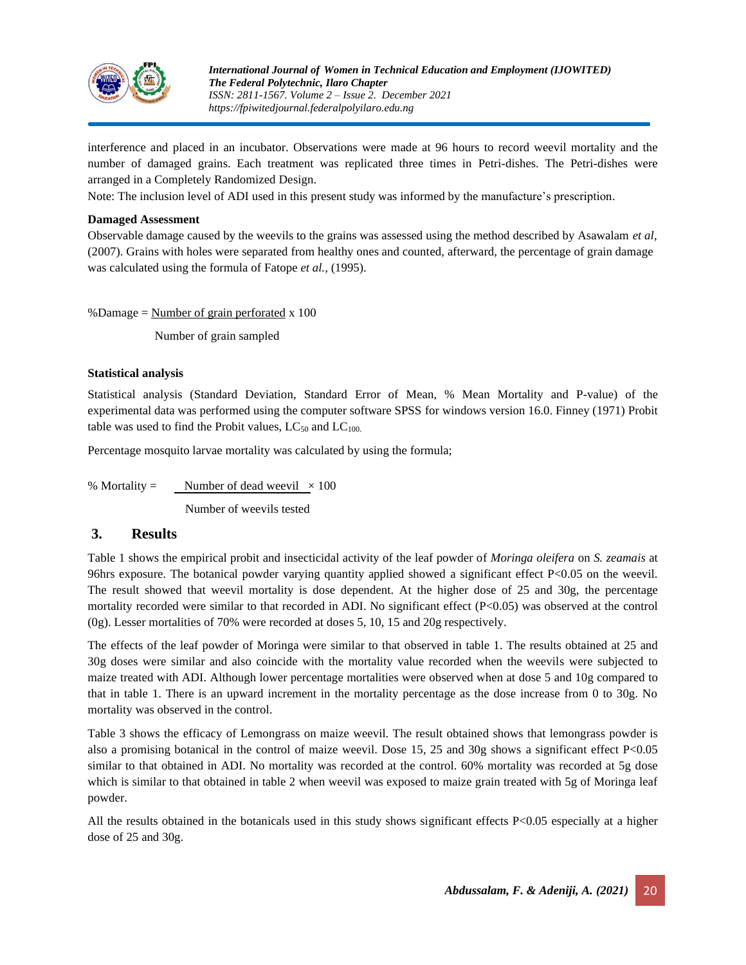

interference and placed in an incubator. Observations were made at 96 hours to record weevil mortality and the number of damaged grains. Each treatment was replicated three times in Petri-dishes. The Petri-dishes were arranged in a Completely Randomized Design.

Note: The inclusion level of ADI used in this present study was informed by the manufacture's prescription.

#### **Damaged Assessment**

Observable damage caused by the weevils to the grains was assessed using the method described by Asawalam *et al*, (2007). Grains with holes were separated from healthy ones and counted, afterward, the percentage of grain damage was calculated using the formula of Fatope *et al.,* (1995).

%Damage =  $Number of grain performed x 100$ 

Number of grain sampled

#### **Statistical analysis**

Statistical analysis (Standard Deviation, Standard Error of Mean, % Mean Mortality and P-value) of the experimental data was performed using the computer software SPSS for windows version 16.0. Finney (1971) Probit table was used to find the Probit values,  $LC_{50}$  and  $LC_{100}$ .

Percentage mosquito larvae mortality was calculated by using the formula;

% Mortality = Number of dead weevil  $\times 100$ 

Number of weevils tested

## **3. Results**

Table 1 shows the empirical probit and insecticidal activity of the leaf powder of *Moringa oleifera* on *S. zeamais* at 96hrs exposure. The botanical powder varying quantity applied showed a significant effect P<0.05 on the weevil. The result showed that weevil mortality is dose dependent. At the higher dose of 25 and 30g, the percentage mortality recorded were similar to that recorded in ADI. No significant effect (P<0.05) was observed at the control (0g). Lesser mortalities of 70% were recorded at doses 5, 10, 15 and 20g respectively.

The effects of the leaf powder of Moringa were similar to that observed in table 1. The results obtained at 25 and 30g doses were similar and also coincide with the mortality value recorded when the weevils were subjected to maize treated with ADI. Although lower percentage mortalities were observed when at dose 5 and 10g compared to that in table 1. There is an upward increment in the mortality percentage as the dose increase from 0 to 30g. No mortality was observed in the control.

Table 3 shows the efficacy of Lemongrass on maize weevil. The result obtained shows that lemongrass powder is also a promising botanical in the control of maize weevil. Dose 15, 25 and 30g shows a significant effect P<0.05 similar to that obtained in ADI. No mortality was recorded at the control. 60% mortality was recorded at 5g dose which is similar to that obtained in table 2 when weevil was exposed to maize grain treated with 5g of Moringa leaf powder.

All the results obtained in the botanicals used in this study shows significant effects P<0.05 especially at a higher dose of 25 and 30g.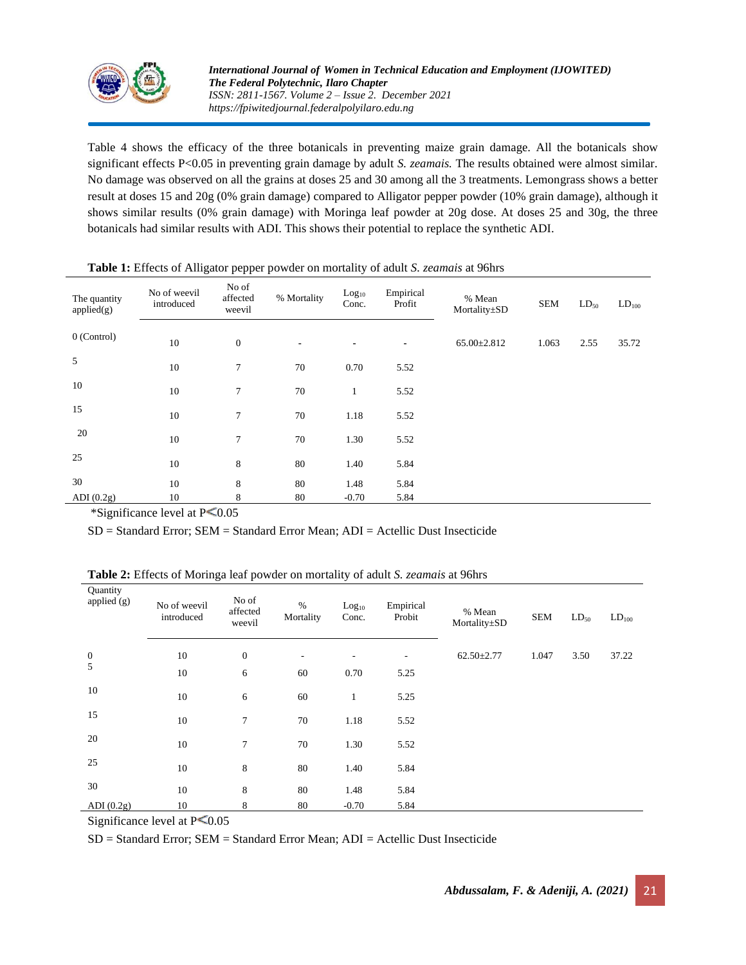

Table 4 shows the efficacy of the three botanicals in preventing maize grain damage. All the botanicals show significant effects P<0.05 in preventing grain damage by adult *S. zeamais.* The results obtained were almost similar. No damage was observed on all the grains at doses 25 and 30 among all the 3 treatments. Lemongrass shows a better result at doses 15 and 20g (0% grain damage) compared to Alligator pepper powder (10% grain damage), although it shows similar results (0% grain damage) with Moringa leaf powder at 20g dose. At doses 25 and 30g, the three botanicals had similar results with ADI. This shows their potential to replace the synthetic ADI.

| The quantity<br>applied(g) | No of weevil<br>introduced | No of<br>affected<br>weevil | % Mortality    | Log <sub>10</sub><br>Conc. | Empirical<br>Profit | % Mean<br>Mortality±SD | <b>SEM</b> | $LD_{50}$ | $LD_{100}$ |
|----------------------------|----------------------------|-----------------------------|----------------|----------------------------|---------------------|------------------------|------------|-----------|------------|
| $0$ (Control)              | 10                         | $\mathbf{0}$                | $\blacksquare$ | $\blacksquare$             | $\blacksquare$      | $65.00 \pm 2.812$      | 1.063      | 2.55      | 35.72      |
| 5                          | 10                         | $7\phantom{.0}$             | 70             | 0.70                       | 5.52                |                        |            |           |            |
| 10                         | 10                         | $\tau$                      | 70             | $\perp$                    | 5.52                |                        |            |           |            |
| 15                         | 10                         | 7                           | 70             | 1.18                       | 5.52                |                        |            |           |            |
| 20                         | 10                         | 7                           | 70             | 1.30                       | 5.52                |                        |            |           |            |
| 25                         | 10                         | 8                           | 80             | 1.40                       | 5.84                |                        |            |           |            |
| 30                         | 10                         | 8                           | 80             | 1.48                       | 5.84                |                        |            |           |            |
| ADI $(0.2g)$               | 10                         | 8                           | 80             | $-0.70$                    | 5.84                |                        |            |           |            |

|  |  |  | Table 1: Effects of Alligator pepper powder on mortality of adult S. zeamais at 96hrs |
|--|--|--|---------------------------------------------------------------------------------------|
|  |  |  |                                                                                       |

\*Significance level at  $P \le 0.05$ 

SD = Standard Error; SEM = Standard Error Mean; ADI = Actellic Dust Insecticide

| Table 2: Effects of Moringa leaf powder on mortality of adult S. zeamais at 96hrs |  |  |
|-----------------------------------------------------------------------------------|--|--|
|-----------------------------------------------------------------------------------|--|--|

| Quantity<br>applied (g) | No of weevil<br>introduced | No of<br>affected<br>weevil | $\%$<br>Mortality | Log <sub>10</sub><br>Conc. | Empirical<br>Probit | % Mean<br>Mortality±SD | <b>SEM</b> | $LD_{50}$ | $LD_{100}$ |
|-------------------------|----------------------------|-----------------------------|-------------------|----------------------------|---------------------|------------------------|------------|-----------|------------|
| $\boldsymbol{0}$        | 10                         | $\mathbf{0}$                | ۰.                | ٠                          | ٠                   | $62.50 \pm 2.77$       | 1.047      | 3.50      | 37.22      |
| 5                       | 10                         | 6                           | 60                | 0.70                       | 5.25                |                        |            |           |            |
| 10                      | 10                         | 6                           | 60                | $\mathbf{1}$               | 5.25                |                        |            |           |            |
| 15                      | 10                         | $\tau$                      | 70                | 1.18                       | 5.52                |                        |            |           |            |
| 20                      | 10                         | 7                           | 70                | 1.30                       | 5.52                |                        |            |           |            |
| 25                      | 10                         | 8                           | 80                | 1.40                       | 5.84                |                        |            |           |            |
| 30                      | 10                         | 8                           | 80                | 1.48                       | 5.84                |                        |            |           |            |
| ADI $(0.2g)$            | 10                         | 8                           | 80                | $-0.70$                    | 5.84                |                        |            |           |            |

Significance level at  $P \le 0.05$ 

SD = Standard Error; SEM = Standard Error Mean; ADI = Actellic Dust Insecticide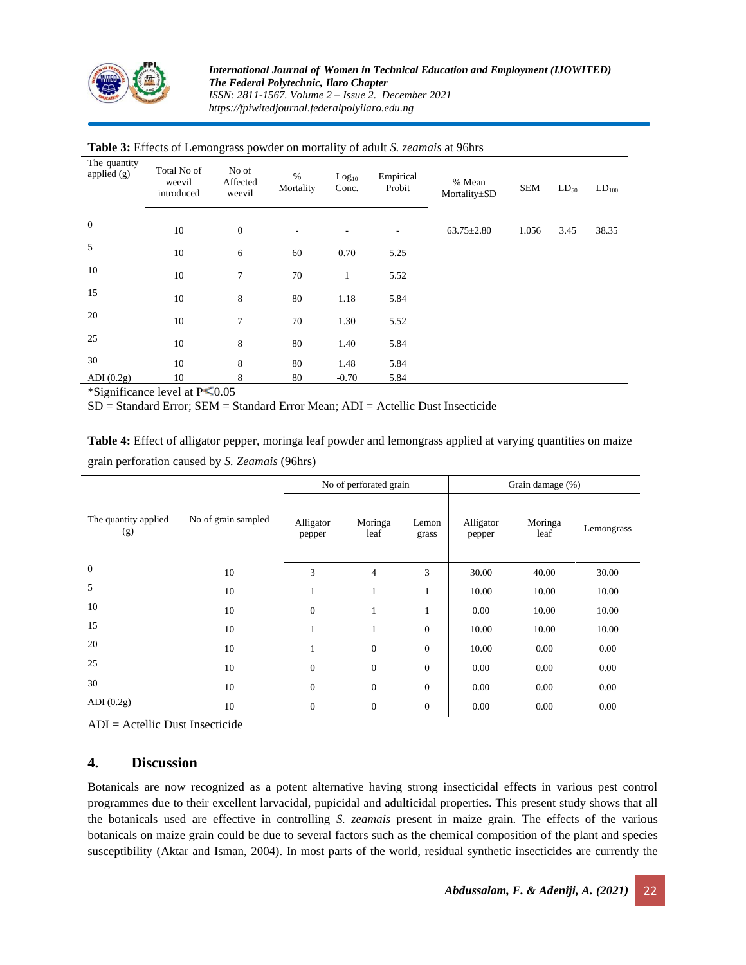

| The quantity<br>applied (g) | Total No of<br>weevil<br>introduced | No of<br>Affected<br>weevil | $\%$<br>Mortality | Log <sub>10</sub><br>Conc. | Empirical<br>Probit | % Mean<br>Mortality±SD | <b>SEM</b> | $LD_{50}$ | LD <sub>100</sub> |
|-----------------------------|-------------------------------------|-----------------------------|-------------------|----------------------------|---------------------|------------------------|------------|-----------|-------------------|
| $\mathbf{0}$                | 10                                  | $\boldsymbol{0}$            | $\overline{a}$    |                            |                     | $63.75 \pm 2.80$       | 1.056      | 3.45      | 38.35             |
| 5                           | 10                                  | 6                           | 60                | 0.70                       | 5.25                |                        |            |           |                   |
| 10                          | 10                                  | $\overline{7}$              | 70                | $\mathbf{1}$               | 5.52                |                        |            |           |                   |
| 15                          | 10                                  | 8                           | 80                | 1.18                       | 5.84                |                        |            |           |                   |
| 20                          | 10                                  | 7                           | 70                | 1.30                       | 5.52                |                        |            |           |                   |
| 25                          | 10                                  | 8                           | 80                | 1.40                       | 5.84                |                        |            |           |                   |
| 30                          | 10                                  | 8                           | 80                | 1.48                       | 5.84                |                        |            |           |                   |
| ADI $(0.2g)$                | 10                                  | 8                           | 80                | $-0.70$                    | 5.84                |                        |            |           |                   |

#### **Table 3:** Effects of Lemongrass powder on mortality of adult *S. zeamais* at 96hrs

\*Significance level at  $P \leq 0.05$ 

SD = Standard Error; SEM = Standard Error Mean; ADI = Actellic Dust Insecticide

**Table 4:** Effect of alligator pepper, moringa leaf powder and lemongrass applied at varying quantities on maize grain perforation caused by *S. Zeamais* (96hrs)

|                             |                     |                     | No of perforated grain |                  | Grain damage (%)    |                 |            |  |
|-----------------------------|---------------------|---------------------|------------------------|------------------|---------------------|-----------------|------------|--|
| The quantity applied<br>(g) | No of grain sampled | Alligator<br>pepper | Moringa<br>leaf        | Lemon<br>grass   | Alligator<br>pepper | Moringa<br>leaf | Lemongrass |  |
| $\boldsymbol{0}$            | 10                  | 3                   | $\overline{4}$         | 3                | 30.00               | 40.00           | 30.00      |  |
| 5                           | 10                  | 1                   | 1                      | 1                | 10.00               | 10.00           | 10.00      |  |
| 10                          | 10                  | $\mathbf{0}$        | 1                      | 1                | 0.00                | 10.00           | 10.00      |  |
| 15                          | 10                  | 1                   | 1                      | $\boldsymbol{0}$ | 10.00               | 10.00           | 10.00      |  |
| 20                          | 10                  | 1                   | $\overline{0}$         | $\boldsymbol{0}$ | 10.00               | 0.00            | 0.00       |  |
| 25                          | 10                  | $\mathbf{0}$        | $\overline{0}$         | $\boldsymbol{0}$ | 0.00                | 0.00            | 0.00       |  |
| 30                          | 10                  | $\mathbf{0}$        | $\overline{0}$         | $\boldsymbol{0}$ | 0.00                | 0.00            | 0.00       |  |
| ADI $(0.2g)$                | 10                  | $\mathbf{0}$        | $\overline{0}$         | $\boldsymbol{0}$ | 0.00                | 0.00            | 0.00       |  |

ADI = Actellic Dust Insecticide

### **4. Discussion**

Botanicals are now recognized as a potent alternative having strong insecticidal effects in various pest control programmes due to their excellent larvacidal, pupicidal and adulticidal properties. This present study shows that all the botanicals used are effective in controlling *S. zeamais* present in maize grain. The effects of the various botanicals on maize grain could be due to several factors such as the chemical composition of the plant and species susceptibility (Aktar and Isman, 2004). In most parts of the world, residual synthetic insecticides are currently the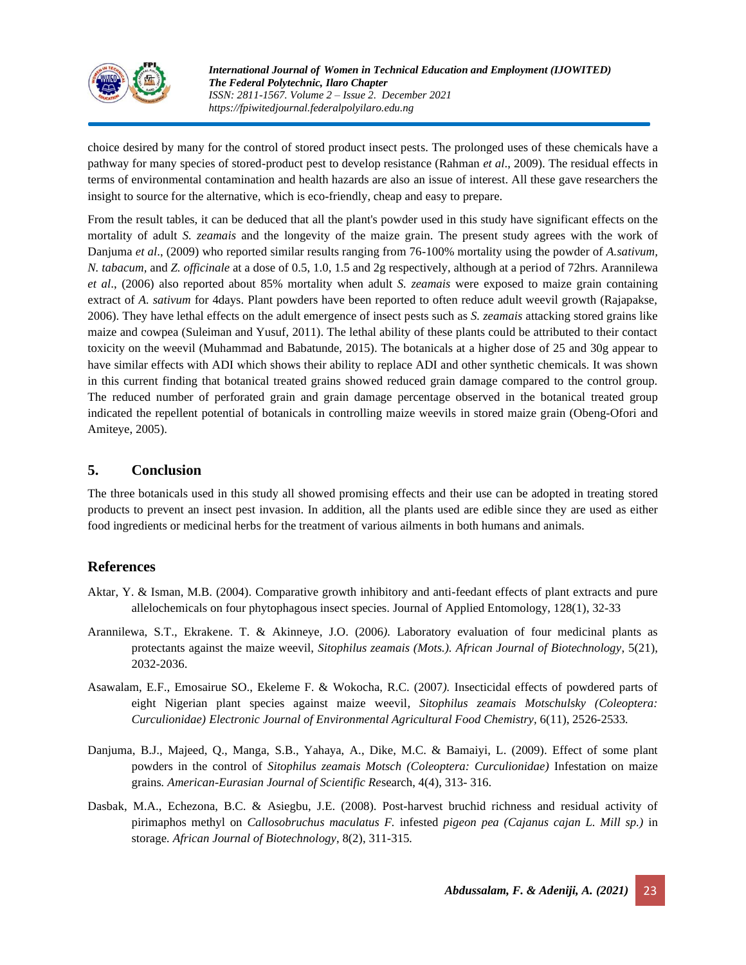

choice desired by many for the control of stored product insect pests. The prolonged uses of these chemicals have a pathway for many species of stored-product pest to develop resistance (Rahman *et al*., 2009). The residual effects in terms of environmental contamination and health hazards are also an issue of interest. All these gave researchers the insight to source for the alternative, which is eco-friendly, cheap and easy to prepare.

From the result tables, it can be deduced that all the plant's powder used in this study have significant effects on the mortality of adult *S. zeamais* and the longevity of the maize grain. The present study agrees with the work of Danjuma *et al*., (2009) who reported similar results ranging from 76-100% mortality using the powder of *A.sativum, N. tabacum,* and *Z. officinale* at a dose of 0.5, 1.0, 1.5 and 2g respectively, although at a period of 72hrs. Arannilewa *et al*., (2006) also reported about 85% mortality when adult *S. zeamais* were exposed to maize grain containing extract of *A. sativum* for 4days. Plant powders have been reported to often reduce adult weevil growth (Rajapakse, 2006). They have lethal effects on the adult emergence of insect pests such as *S. zeamais* attacking stored grains like maize and cowpea (Suleiman and Yusuf, 2011). The lethal ability of these plants could be attributed to their contact toxicity on the weevil (Muhammad and Babatunde, 2015). The botanicals at a higher dose of 25 and 30g appear to have similar effects with ADI which shows their ability to replace ADI and other synthetic chemicals. It was shown in this current finding that botanical treated grains showed reduced grain damage compared to the control group. The reduced number of perforated grain and grain damage percentage observed in the botanical treated group indicated the repellent potential of botanicals in controlling maize weevils in stored maize grain (Obeng-Ofori and Amiteye, 2005).

# **5. Conclusion**

The three botanicals used in this study all showed promising effects and their use can be adopted in treating stored products to prevent an insect pest invasion. In addition, all the plants used are edible since they are used as either food ingredients or medicinal herbs for the treatment of various ailments in both humans and animals.

# **References**

- Aktar, Y. & Isman, M.B. (2004). Comparative growth inhibitory and anti-feedant effects of plant extracts and pure allelochemicals on four phytophagous insect species. Journal of Applied Entomology, 128(1), 32-33
- Arannilewa, S.T., Ekrakene. T. & Akinneye, J.O. (2006*).* Laboratory evaluation of four medicinal plants as protectants against the maize weevil, *Sitophilus zeamais (Mots.). African Journal of Biotechnology*, 5(21), 2032-2036.
- Asawalam, E.F., Emosairue SO., Ekeleme F. & Wokocha, R.C. (2007*).* Insecticidal effects of powdered parts of eight Nigerian plant species against maize weevil*, Sitophilus zeamais Motschulsky (Coleoptera: Curculionidae) Electronic Journal of Environmental Agricultural Food Chemistry,* 6(11), 2526-2533*.*
- Danjuma, B.J., Majeed, Q., Manga, S.B., Yahaya, A., Dike, M.C. & Bamaiyi, L. (2009). Effect of some plant powders in the control of *Sitophilus zeamais Motsch (Coleoptera: Curculionidae)* Infestation on maize grains*. American-Eurasian Journal of Scientific Re*search, 4(4), 313- 316.
- Dasbak, M.A., Echezona, B.C. & Asiegbu, J.E. (2008). Post-harvest bruchid richness and residual activity of pirimaphos methyl on *Callosobruchus maculatus F.* infested *pigeon pea (Cajanus cajan L. Mill sp.)* in storage*. African Journal of Biotechnology*, 8(2), 311-315*.*